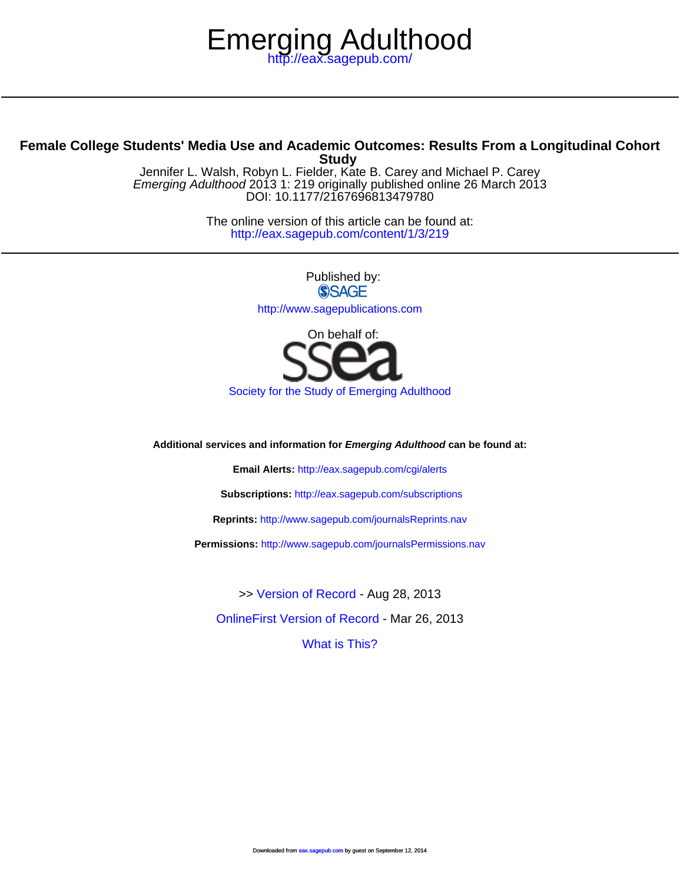# <http://eax.sagepub.com/> Emerging Adulthood

## **Study Female College Students' Media Use and Academic Outcomes: Results From a Longitudinal Cohort**

DOI: 10.1177/2167696813479780 Emerging Adulthood 2013 1: 219 originally published online 26 March 2013 Jennifer L. Walsh, Robyn L. Fielder, Kate B. Carey and Michael P. Carey

> <http://eax.sagepub.com/content/1/3/219> The online version of this article can be found at:

> > Published by: **SSAGE** <http://www.sagepublications.com>



**Additional services and information for Emerging Adulthood can be found at:**

**Email Alerts:** <http://eax.sagepub.com/cgi/alerts>

**Subscriptions:** <http://eax.sagepub.com/subscriptions>

**Reprints:** <http://www.sagepub.com/journalsReprints.nav>

**Permissions:** <http://www.sagepub.com/journalsPermissions.nav>

>> [Version of Record -](http://eax.sagepub.com/content/1/3/219.full.pdf) Aug 28, 2013

[OnlineFirst Version of Record -](http://eax.sagepub.com/content/early/2013/03/05/2167696813479780.full.pdf) Mar 26, 2013

[What is This?](http://online.sagepub.com/site/sphelp/vorhelp.xhtml)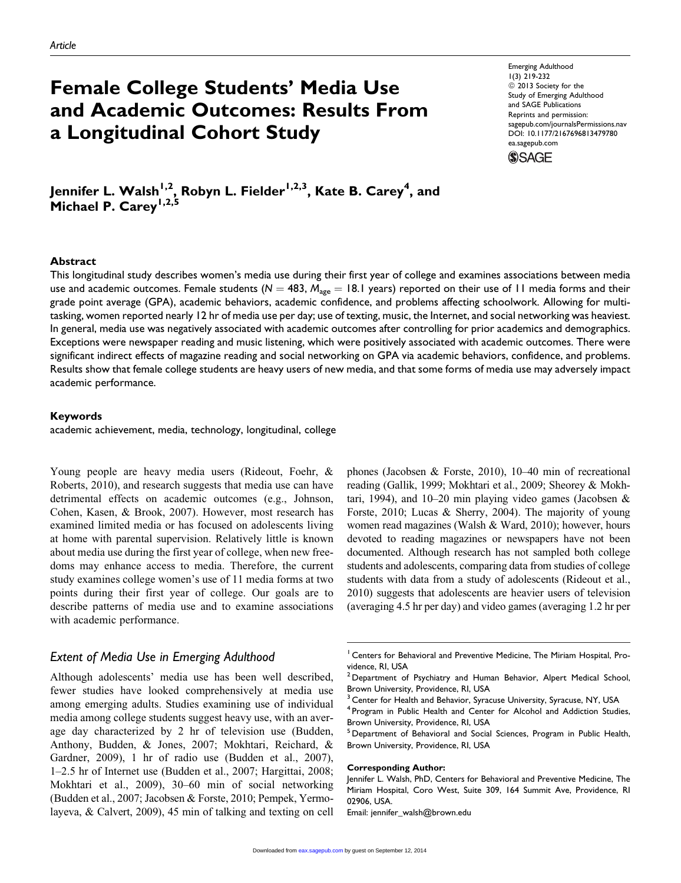# Female College Students' Media Use and Academic Outcomes: Results From a Longitudinal Cohort Study

Emerging Adulthood 1(3) 219-232  $\odot$  2013 Society for the Study of Emerging Adulthood and SAGE Publications Reprints and permission: [sagepub.com/journalsPermissions.nav](http://www.sagepub.com/journalsPermissions.nav) DOI: 10.1177/2167696813479780 [ea.sagepub.com](http://ea.sagepub.com)



Jennifer L. Walsh<sup>1,2</sup>, Robyn L. Fielder<sup>1,2,3</sup>, Kate B. Carey<sup>4</sup>, and Michael P. Carey<sup>1,2,5</sup>

#### Abstract

This longitudinal study describes women's media use during their first year of college and examines associations between media use and academic outcomes. Female students ( $N = 483$ ,  $M_{\text{age}} = 18.1$  years) reported on their use of 11 media forms and their grade point average (GPA), academic behaviors, academic confidence, and problems affecting schoolwork. Allowing for multitasking, women reported nearly 12 hr of media use per day; use of texting, music, the Internet, and social networking was heaviest. In general, media use was negatively associated with academic outcomes after controlling for prior academics and demographics. Exceptions were newspaper reading and music listening, which were positively associated with academic outcomes. There were significant indirect effects of magazine reading and social networking on GPA via academic behaviors, confidence, and problems. Results show that female college students are heavy users of new media, and that some forms of media use may adversely impact academic performance.

#### Keywords

academic achievement, media, technology, longitudinal, college

Young people are heavy media users (Rideout, Foehr, & Roberts, 2010), and research suggests that media use can have detrimental effects on academic outcomes (e.g., Johnson, Cohen, Kasen, & Brook, 2007). However, most research has examined limited media or has focused on adolescents living at home with parental supervision. Relatively little is known about media use during the first year of college, when new freedoms may enhance access to media. Therefore, the current study examines college women's use of 11 media forms at two points during their first year of college. Our goals are to describe patterns of media use and to examine associations with academic performance.

## Extent of Media Use in Emerging Adulthood

Although adolescents' media use has been well described, fewer studies have looked comprehensively at media use among emerging adults. Studies examining use of individual media among college students suggest heavy use, with an average day characterized by 2 hr of television use (Budden, Anthony, Budden, & Jones, 2007; Mokhtari, Reichard, & Gardner, 2009), 1 hr of radio use (Budden et al., 2007), 1–2.5 hr of Internet use (Budden et al., 2007; Hargittai, 2008; Mokhtari et al., 2009), 30–60 min of social networking (Budden et al., 2007; Jacobsen & Forste, 2010; Pempek, Yermolayeva, & Calvert, 2009), 45 min of talking and texting on cell phones (Jacobsen & Forste, 2010), 10–40 min of recreational reading (Gallik, 1999; Mokhtari et al., 2009; Sheorey & Mokhtari, 1994), and 10–20 min playing video games (Jacobsen  $\&$ Forste, 2010; Lucas & Sherry, 2004). The majority of young women read magazines (Walsh & Ward, 2010); however, hours devoted to reading magazines or newspapers have not been documented. Although research has not sampled both college students and adolescents, comparing data from studies of college students with data from a study of adolescents (Rideout et al., 2010) suggests that adolescents are heavier users of television (averaging 4.5 hr per day) and video games (averaging 1.2 hr per

#### Corresponding Author:

Email: jennifer\_walsh@brown.edu

<sup>&</sup>lt;sup>1</sup> Centers for Behavioral and Preventive Medicine, The Miriam Hospital, Providence, RI, USA

 $^2$ Department of Psychiatry and Human Behavior, Alpert Medical School, Brown University, Providence, RI, USA

Center for Health and Behavior, Syracuse University, Syracuse, NY, USA

<sup>&</sup>lt;sup>4</sup> Program in Public Health and Center for Alcohol and Addiction Studies, Brown University, Providence, RI, USA

<sup>&</sup>lt;sup>5</sup> Department of Behavioral and Social Sciences, Program in Public Health, Brown University, Providence, RI, USA

Jennifer L. Walsh, PhD, Centers for Behavioral and Preventive Medicine, The Miriam Hospital, Coro West, Suite 309, 164 Summit Ave, Providence, RI 02906, USA.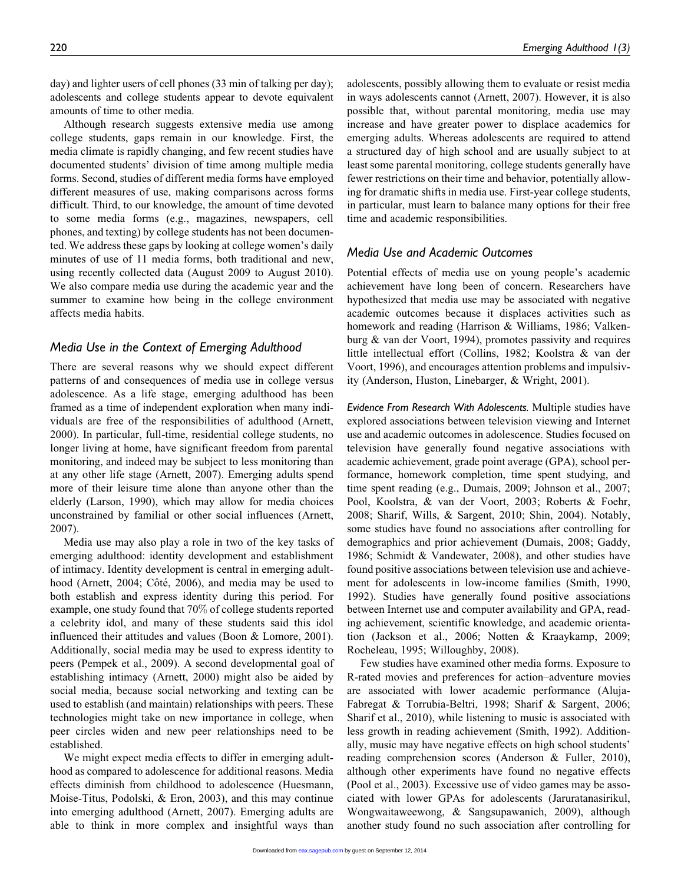day) and lighter users of cell phones (33 min of talking per day); adolescents and college students appear to devote equivalent amounts of time to other media.

Although research suggests extensive media use among college students, gaps remain in our knowledge. First, the media climate is rapidly changing, and few recent studies have documented students' division of time among multiple media forms. Second, studies of different media forms have employed different measures of use, making comparisons across forms difficult. Third, to our knowledge, the amount of time devoted to some media forms (e.g., magazines, newspapers, cell phones, and texting) by college students has not been documented. We address these gaps by looking at college women's daily minutes of use of 11 media forms, both traditional and new, using recently collected data (August 2009 to August 2010). We also compare media use during the academic year and the summer to examine how being in the college environment affects media habits.

## Media Use in the Context of Emerging Adulthood

There are several reasons why we should expect different patterns of and consequences of media use in college versus adolescence. As a life stage, emerging adulthood has been framed as a time of independent exploration when many individuals are free of the responsibilities of adulthood (Arnett, 2000). In particular, full-time, residential college students, no longer living at home, have significant freedom from parental monitoring, and indeed may be subject to less monitoring than at any other life stage (Arnett, 2007). Emerging adults spend more of their leisure time alone than anyone other than the elderly (Larson, 1990), which may allow for media choices unconstrained by familial or other social influences (Arnett, 2007).

Media use may also play a role in two of the key tasks of emerging adulthood: identity development and establishment of intimacy. Identity development is central in emerging adulthood (Arnett, 2004; Côté, 2006), and media may be used to both establish and express identity during this period. For example, one study found that 70% of college students reported a celebrity idol, and many of these students said this idol influenced their attitudes and values (Boon & Lomore, 2001). Additionally, social media may be used to express identity to peers (Pempek et al., 2009). A second developmental goal of establishing intimacy (Arnett, 2000) might also be aided by social media, because social networking and texting can be used to establish (and maintain) relationships with peers. These technologies might take on new importance in college, when peer circles widen and new peer relationships need to be established.

We might expect media effects to differ in emerging adulthood as compared to adolescence for additional reasons. Media effects diminish from childhood to adolescence (Huesmann, Moise-Titus, Podolski, & Eron, 2003), and this may continue into emerging adulthood (Arnett, 2007). Emerging adults are able to think in more complex and insightful ways than

adolescents, possibly allowing them to evaluate or resist media in ways adolescents cannot (Arnett, 2007). However, it is also possible that, without parental monitoring, media use may increase and have greater power to displace academics for emerging adults. Whereas adolescents are required to attend a structured day of high school and are usually subject to at least some parental monitoring, college students generally have fewer restrictions on their time and behavior, potentially allowing for dramatic shifts in media use. First-year college students, in particular, must learn to balance many options for their free time and academic responsibilities.

## Media Use and Academic Outcomes

Potential effects of media use on young people's academic achievement have long been of concern. Researchers have hypothesized that media use may be associated with negative academic outcomes because it displaces activities such as homework and reading (Harrison & Williams, 1986; Valkenburg & van der Voort, 1994), promotes passivity and requires little intellectual effort (Collins, 1982; Koolstra & van der Voort, 1996), and encourages attention problems and impulsivity (Anderson, Huston, Linebarger, & Wright, 2001).

Evidence From Research With Adolescents. Multiple studies have explored associations between television viewing and Internet use and academic outcomes in adolescence. Studies focused on television have generally found negative associations with academic achievement, grade point average (GPA), school performance, homework completion, time spent studying, and time spent reading (e.g., Dumais, 2009; Johnson et al., 2007; Pool, Koolstra, & van der Voort, 2003; Roberts & Foehr, 2008; Sharif, Wills, & Sargent, 2010; Shin, 2004). Notably, some studies have found no associations after controlling for demographics and prior achievement (Dumais, 2008; Gaddy, 1986; Schmidt & Vandewater, 2008), and other studies have found positive associations between television use and achievement for adolescents in low-income families (Smith, 1990, 1992). Studies have generally found positive associations between Internet use and computer availability and GPA, reading achievement, scientific knowledge, and academic orientation (Jackson et al., 2006; Notten & Kraaykamp, 2009; Rocheleau, 1995; Willoughby, 2008).

Few studies have examined other media forms. Exposure to R-rated movies and preferences for action–adventure movies are associated with lower academic performance (Aluja-Fabregat & Torrubia-Beltri, 1998; Sharif & Sargent, 2006; Sharif et al., 2010), while listening to music is associated with less growth in reading achievement (Smith, 1992). Additionally, music may have negative effects on high school students' reading comprehension scores (Anderson & Fuller, 2010), although other experiments have found no negative effects (Pool et al., 2003). Excessive use of video games may be associated with lower GPAs for adolescents (Jaruratanasirikul, Wongwaitaweewong, & Sangsupawanich, 2009), although another study found no such association after controlling for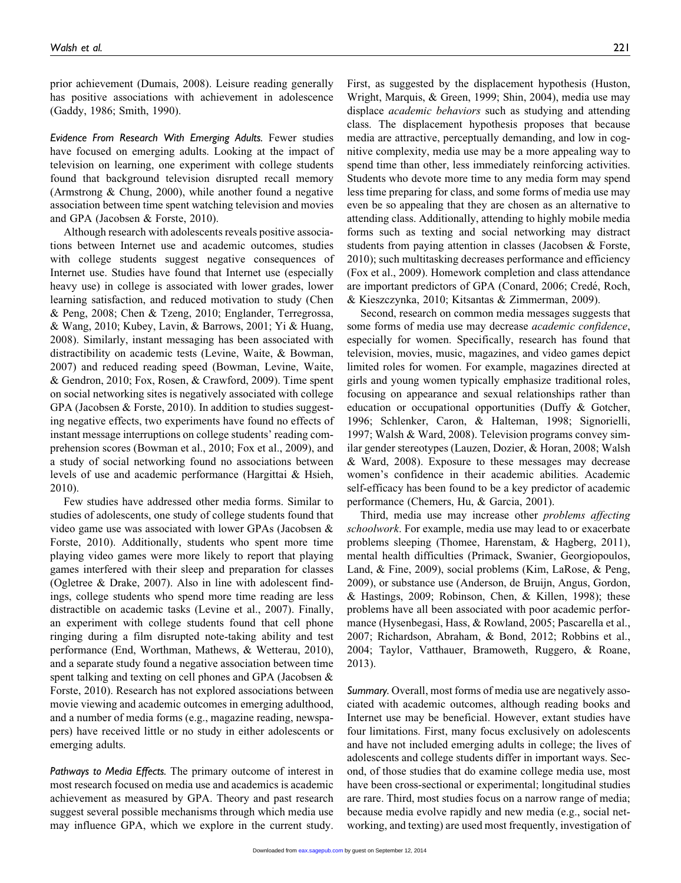prior achievement (Dumais, 2008). Leisure reading generally has positive associations with achievement in adolescence (Gaddy, 1986; Smith, 1990).

Evidence From Research With Emerging Adults. Fewer studies have focused on emerging adults. Looking at the impact of television on learning, one experiment with college students found that background television disrupted recall memory (Armstrong & Chung, 2000), while another found a negative association between time spent watching television and movies and GPA (Jacobsen & Forste, 2010).

Although research with adolescents reveals positive associations between Internet use and academic outcomes, studies with college students suggest negative consequences of Internet use. Studies have found that Internet use (especially heavy use) in college is associated with lower grades, lower learning satisfaction, and reduced motivation to study (Chen & Peng, 2008; Chen & Tzeng, 2010; Englander, Terregrossa, & Wang, 2010; Kubey, Lavin, & Barrows, 2001; Yi & Huang, 2008). Similarly, instant messaging has been associated with distractibility on academic tests (Levine, Waite, & Bowman, 2007) and reduced reading speed (Bowman, Levine, Waite, & Gendron, 2010; Fox, Rosen, & Crawford, 2009). Time spent on social networking sites is negatively associated with college GPA (Jacobsen & Forste, 2010). In addition to studies suggesting negative effects, two experiments have found no effects of instant message interruptions on college students' reading comprehension scores (Bowman et al., 2010; Fox et al., 2009), and a study of social networking found no associations between levels of use and academic performance (Hargittai & Hsieh, 2010).

Few studies have addressed other media forms. Similar to studies of adolescents, one study of college students found that video game use was associated with lower GPAs (Jacobsen & Forste, 2010). Additionally, students who spent more time playing video games were more likely to report that playing games interfered with their sleep and preparation for classes (Ogletree & Drake, 2007). Also in line with adolescent findings, college students who spend more time reading are less distractible on academic tasks (Levine et al., 2007). Finally, an experiment with college students found that cell phone ringing during a film disrupted note-taking ability and test performance (End, Worthman, Mathews, & Wetterau, 2010), and a separate study found a negative association between time spent talking and texting on cell phones and GPA (Jacobsen & Forste, 2010). Research has not explored associations between movie viewing and academic outcomes in emerging adulthood, and a number of media forms (e.g., magazine reading, newspapers) have received little or no study in either adolescents or emerging adults.

Pathways to Media Effects. The primary outcome of interest in most research focused on media use and academics is academic achievement as measured by GPA. Theory and past research suggest several possible mechanisms through which media use may influence GPA, which we explore in the current study.

First, as suggested by the displacement hypothesis (Huston, Wright, Marquis, & Green, 1999; Shin, 2004), media use may displace *academic behaviors* such as studying and attending class. The displacement hypothesis proposes that because media are attractive, perceptually demanding, and low in cognitive complexity, media use may be a more appealing way to spend time than other, less immediately reinforcing activities. Students who devote more time to any media form may spend less time preparing for class, and some forms of media use may even be so appealing that they are chosen as an alternative to attending class. Additionally, attending to highly mobile media forms such as texting and social networking may distract students from paying attention in classes (Jacobsen & Forste, 2010); such multitasking decreases performance and efficiency (Fox et al., 2009). Homework completion and class attendance are important predictors of GPA (Conard, 2006; Credé, Roch, & Kieszczynka, 2010; Kitsantas & Zimmerman, 2009).

Second, research on common media messages suggests that some forms of media use may decrease academic confidence, especially for women. Specifically, research has found that television, movies, music, magazines, and video games depict limited roles for women. For example, magazines directed at girls and young women typically emphasize traditional roles, focusing on appearance and sexual relationships rather than education or occupational opportunities (Duffy & Gotcher, 1996; Schlenker, Caron, & Halteman, 1998; Signorielli, 1997; Walsh & Ward, 2008). Television programs convey similar gender stereotypes (Lauzen, Dozier, & Horan, 2008; Walsh & Ward, 2008). Exposure to these messages may decrease women's confidence in their academic abilities. Academic self-efficacy has been found to be a key predictor of academic performance (Chemers, Hu, & Garcia, 2001).

Third, media use may increase other problems affecting schoolwork. For example, media use may lead to or exacerbate problems sleeping (Thomee, Harenstam, & Hagberg, 2011), mental health difficulties (Primack, Swanier, Georgiopoulos, Land, & Fine, 2009), social problems (Kim, LaRose, & Peng, 2009), or substance use (Anderson, de Bruijn, Angus, Gordon, & Hastings, 2009; Robinson, Chen, & Killen, 1998); these problems have all been associated with poor academic performance (Hysenbegasi, Hass, & Rowland, 2005; Pascarella et al., 2007; Richardson, Abraham, & Bond, 2012; Robbins et al., 2004; Taylor, Vatthauer, Bramoweth, Ruggero, & Roane, 2013).

Summary. Overall, most forms of media use are negatively associated with academic outcomes, although reading books and Internet use may be beneficial. However, extant studies have four limitations. First, many focus exclusively on adolescents and have not included emerging adults in college; the lives of adolescents and college students differ in important ways. Second, of those studies that do examine college media use, most have been cross-sectional or experimental; longitudinal studies are rare. Third, most studies focus on a narrow range of media; because media evolve rapidly and new media (e.g., social networking, and texting) are used most frequently, investigation of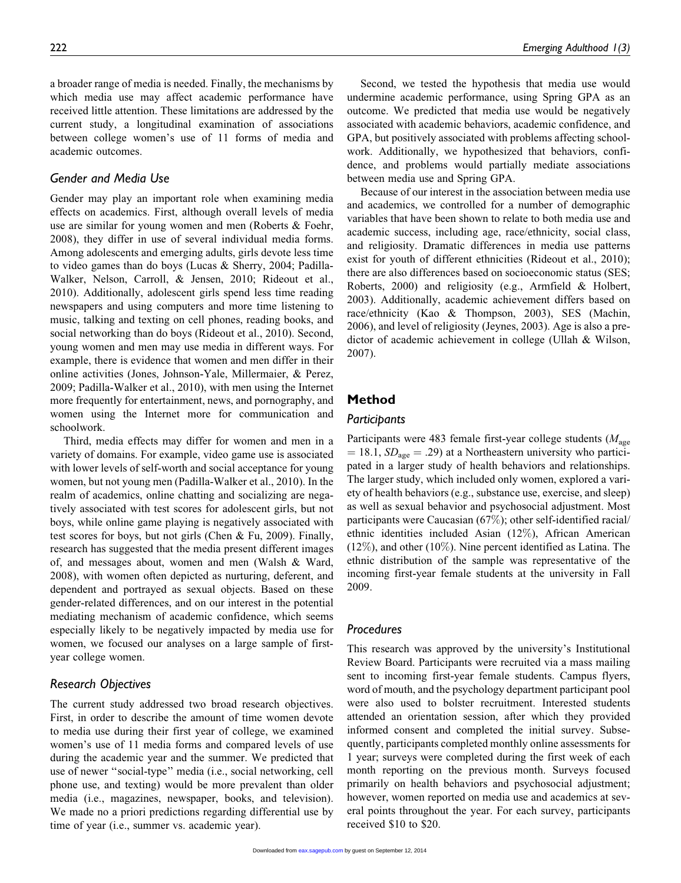a broader range of media is needed. Finally, the mechanisms by which media use may affect academic performance have received little attention. These limitations are addressed by the current study, a longitudinal examination of associations between college women's use of 11 forms of media and academic outcomes.

## Gender and Media Use

Gender may play an important role when examining media effects on academics. First, although overall levels of media use are similar for young women and men (Roberts & Foehr, 2008), they differ in use of several individual media forms. Among adolescents and emerging adults, girls devote less time to video games than do boys (Lucas & Sherry, 2004; Padilla-Walker, Nelson, Carroll, & Jensen, 2010; Rideout et al., 2010). Additionally, adolescent girls spend less time reading newspapers and using computers and more time listening to music, talking and texting on cell phones, reading books, and social networking than do boys (Rideout et al., 2010). Second, young women and men may use media in different ways. For example, there is evidence that women and men differ in their online activities (Jones, Johnson-Yale, Millermaier, & Perez, 2009; Padilla-Walker et al., 2010), with men using the Internet more frequently for entertainment, news, and pornography, and women using the Internet more for communication and schoolwork.

Third, media effects may differ for women and men in a variety of domains. For example, video game use is associated with lower levels of self-worth and social acceptance for young women, but not young men (Padilla-Walker et al., 2010). In the realm of academics, online chatting and socializing are negatively associated with test scores for adolescent girls, but not boys, while online game playing is negatively associated with test scores for boys, but not girls (Chen & Fu, 2009). Finally, research has suggested that the media present different images of, and messages about, women and men (Walsh & Ward, 2008), with women often depicted as nurturing, deferent, and dependent and portrayed as sexual objects. Based on these gender-related differences, and on our interest in the potential mediating mechanism of academic confidence, which seems especially likely to be negatively impacted by media use for women, we focused our analyses on a large sample of firstyear college women.

## Research Objectives

The current study addressed two broad research objectives. First, in order to describe the amount of time women devote to media use during their first year of college, we examined women's use of 11 media forms and compared levels of use during the academic year and the summer. We predicted that use of newer ''social-type'' media (i.e., social networking, cell phone use, and texting) would be more prevalent than older media (i.e., magazines, newspaper, books, and television). We made no a priori predictions regarding differential use by time of year (i.e., summer vs. academic year).

Second, we tested the hypothesis that media use would undermine academic performance, using Spring GPA as an outcome. We predicted that media use would be negatively associated with academic behaviors, academic confidence, and GPA, but positively associated with problems affecting schoolwork. Additionally, we hypothesized that behaviors, confidence, and problems would partially mediate associations between media use and Spring GPA.

Because of our interest in the association between media use and academics, we controlled for a number of demographic variables that have been shown to relate to both media use and academic success, including age, race/ethnicity, social class, and religiosity. Dramatic differences in media use patterns exist for youth of different ethnicities (Rideout et al., 2010); there are also differences based on socioeconomic status (SES; Roberts, 2000) and religiosity (e.g., Armfield & Holbert, 2003). Additionally, academic achievement differs based on race/ethnicity (Kao & Thompson, 2003), SES (Machin, 2006), and level of religiosity (Jeynes, 2003). Age is also a predictor of academic achievement in college (Ullah & Wilson, 2007).

## Method

## **Participants**

Participants were 483 female first-year college students  $(M<sub>age</sub>$  $= 18.1, SD<sub>age</sub> = .29$ ) at a Northeastern university who participated in a larger study of health behaviors and relationships. The larger study, which included only women, explored a variety of health behaviors (e.g., substance use, exercise, and sleep) as well as sexual behavior and psychosocial adjustment. Most participants were Caucasian (67%); other self-identified racial/ ethnic identities included Asian (12%), African American  $(12\%)$ , and other  $(10\%)$ . Nine percent identified as Latina. The ethnic distribution of the sample was representative of the incoming first-year female students at the university in Fall 2009.

## Procedures

This research was approved by the university's Institutional Review Board. Participants were recruited via a mass mailing sent to incoming first-year female students. Campus flyers, word of mouth, and the psychology department participant pool were also used to bolster recruitment. Interested students attended an orientation session, after which they provided informed consent and completed the initial survey. Subsequently, participants completed monthly online assessments for 1 year; surveys were completed during the first week of each month reporting on the previous month. Surveys focused primarily on health behaviors and psychosocial adjustment; however, women reported on media use and academics at several points throughout the year. For each survey, participants received \$10 to \$20.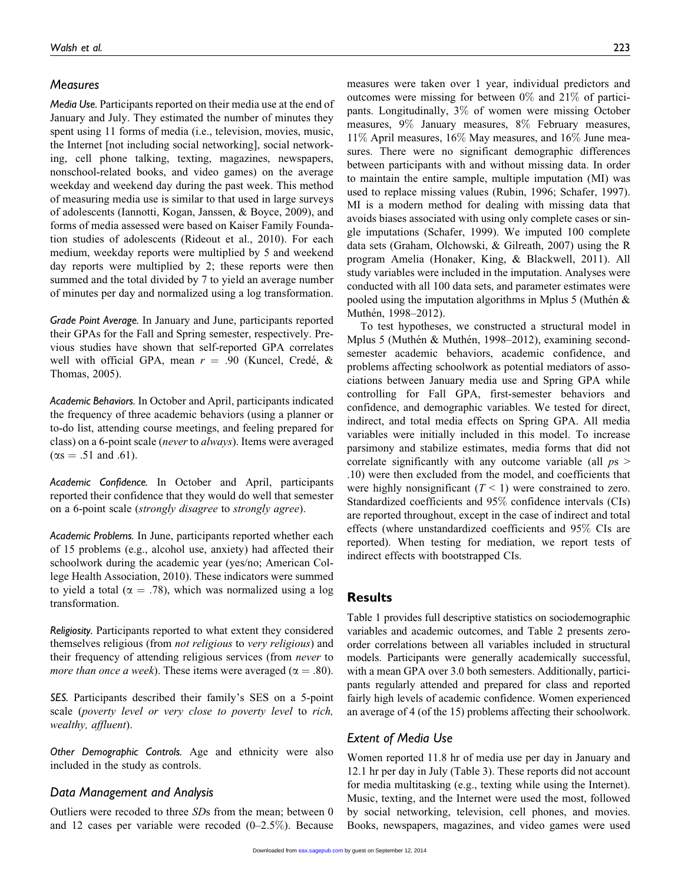## **Measures**

Media Use. Participants reported on their media use at the end of January and July. They estimated the number of minutes they spent using 11 forms of media (i.e., television, movies, music, the Internet [not including social networking], social networking, cell phone talking, texting, magazines, newspapers, nonschool-related books, and video games) on the average weekday and weekend day during the past week. This method of measuring media use is similar to that used in large surveys of adolescents (Iannotti, Kogan, Janssen, & Boyce, 2009), and forms of media assessed were based on Kaiser Family Foundation studies of adolescents (Rideout et al., 2010). For each medium, weekday reports were multiplied by 5 and weekend day reports were multiplied by 2; these reports were then summed and the total divided by 7 to yield an average number of minutes per day and normalized using a log transformation.

Grade Point Average. In January and June, participants reported their GPAs for the Fall and Spring semester, respectively. Previous studies have shown that self-reported GPA correlates well with official GPA, mean  $r = .90$  (Kuncel, Credé, & Thomas, 2005).

Academic Behaviors. In October and April, participants indicated the frequency of three academic behaviors (using a planner or to-do list, attending course meetings, and feeling prepared for class) on a 6-point scale (never to always). Items were averaged  $(\alpha s = .51 \text{ and } .61).$ 

Academic Confidence. In October and April, participants reported their confidence that they would do well that semester on a 6-point scale (strongly disagree to strongly agree).

Academic Problems. In June, participants reported whether each of 15 problems (e.g., alcohol use, anxiety) had affected their schoolwork during the academic year (yes/no; American College Health Association, 2010). These indicators were summed to yield a total ( $\alpha = .78$ ), which was normalized using a log transformation.

Religiosity. Participants reported to what extent they considered themselves religious (from not religious to very religious) and their frequency of attending religious services (from never to more than once a week). These items were averaged ( $\alpha = .80$ ).

SES. Participants described their family's SES on a 5-point scale (poverty level or very close to poverty level to rich, wealthy, affluent).

Other Demographic Controls. Age and ethnicity were also included in the study as controls.

## Data Management and Analysis

Outliers were recoded to three SDs from the mean; between 0 and 12 cases per variable were recoded (0–2.5%). Because

measures were taken over 1 year, individual predictors and outcomes were missing for between  $0\%$  and  $21\%$  of participants. Longitudinally, 3% of women were missing October measures, 9% January measures, 8% February measures, 11% April measures, 16% May measures, and 16% June measures. There were no significant demographic differences between participants with and without missing data. In order to maintain the entire sample, multiple imputation (MI) was used to replace missing values (Rubin, 1996; Schafer, 1997). MI is a modern method for dealing with missing data that avoids biases associated with using only complete cases or single imputations (Schafer, 1999). We imputed 100 complete data sets (Graham, Olchowski, & Gilreath, 2007) using the R program Amelia (Honaker, King, & Blackwell, 2011). All study variables were included in the imputation. Analyses were conducted with all 100 data sets, and parameter estimates were pooled using the imputation algorithms in Mplus 5 (Muthén  $\&$ Muthén, 1998–2012).

To test hypotheses, we constructed a structural model in Mplus 5 (Muthén & Muthén, 1998–2012), examining secondsemester academic behaviors, academic confidence, and problems affecting schoolwork as potential mediators of associations between January media use and Spring GPA while controlling for Fall GPA, first-semester behaviors and confidence, and demographic variables. We tested for direct, indirect, and total media effects on Spring GPA. All media variables were initially included in this model. To increase parsimony and stabilize estimates, media forms that did not correlate significantly with any outcome variable (all  $p_s$ ) .10) were then excluded from the model, and coefficients that were highly nonsignificant  $(T < 1)$  were constrained to zero. Standardized coefficients and 95% confidence intervals (CIs) are reported throughout, except in the case of indirect and total effects (where unstandardized coefficients and 95% CIs are reported). When testing for mediation, we report tests of indirect effects with bootstrapped CIs.

# **Results**

Table 1 provides full descriptive statistics on sociodemographic variables and academic outcomes, and Table 2 presents zeroorder correlations between all variables included in structural models. Participants were generally academically successful, with a mean GPA over 3.0 both semesters. Additionally, participants regularly attended and prepared for class and reported fairly high levels of academic confidence. Women experienced an average of 4 (of the 15) problems affecting their schoolwork.

## Extent of Media Use

Women reported 11.8 hr of media use per day in January and 12.1 hr per day in July (Table 3). These reports did not account for media multitasking (e.g., texting while using the Internet). Music, texting, and the Internet were used the most, followed by social networking, television, cell phones, and movies. Books, newspapers, magazines, and video games were used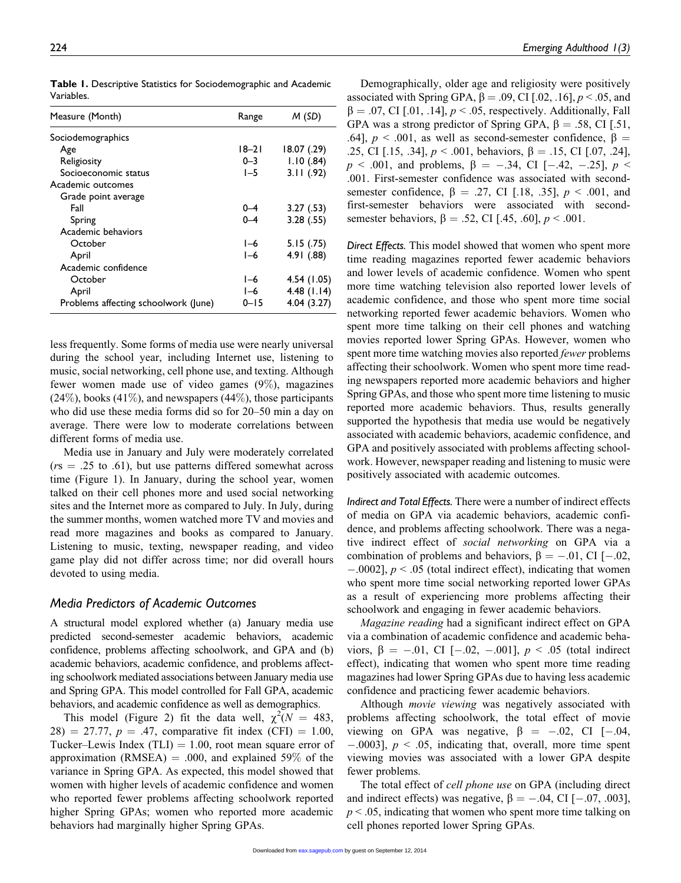| Measure (Month)                      | Range     | M(SD)       |
|--------------------------------------|-----------|-------------|
| Sociodemographics                    |           |             |
| Age                                  | $18 - 21$ | 18.07 (.29) |
| Religiosity                          | $0 - 3$   | 1.10(.84)   |
| Socioeconomic status                 | $I - 5$   | 3.11(.92)   |
| Academic outcomes                    |           |             |
| Grade point average                  |           |             |
| Fall                                 | $0 - 4$   | 3.27(0.53)  |
| Spring                               | $0 - 4$   | 3.28(.55)   |
| Academic behaviors                   |           |             |
| October                              | $I-6$     | 5.15(.75)   |
| April                                | $I-6$     | 4.91(.88)   |
| Academic confidence                  |           |             |
| October                              | $I-6$     | 4.54(1.05)  |
| April                                | $I - 6$   | 4.48(1.14)  |
| Problems affecting schoolwork (June) | $0 - 15$  | 4.04(3.27)  |

Table 1. Descriptive Statistics for Sociodemographic and Academic Variables.

less frequently. Some forms of media use were nearly universal during the school year, including Internet use, listening to music, social networking, cell phone use, and texting. Although fewer women made use of video games (9%), magazines  $(24\%)$ , books  $(41\%)$ , and newspapers  $(44\%)$ , those participants who did use these media forms did so for 20–50 min a day on average. There were low to moderate correlations between different forms of media use.

Media use in January and July were moderately correlated  $(rs = .25 \text{ to } .61)$ , but use patterns differed somewhat across time (Figure 1). In January, during the school year, women talked on their cell phones more and used social networking sites and the Internet more as compared to July. In July, during the summer months, women watched more TV and movies and read more magazines and books as compared to January. Listening to music, texting, newspaper reading, and video game play did not differ across time; nor did overall hours devoted to using media.

## Media Predictors of Academic Outcomes

A structural model explored whether (a) January media use predicted second-semester academic behaviors, academic confidence, problems affecting schoolwork, and GPA and (b) academic behaviors, academic confidence, and problems affecting schoolwork mediated associations between January media use and Spring GPA. This model controlled for Fall GPA, academic behaviors, and academic confidence as well as demographics.

This model (Figure 2) fit the data well,  $\chi^2(N = 483,$  $28) = 27.77$ ,  $p = .47$ , comparative fit index (CFI) = 1.00, Tucker–Lewis Index (TLI)  $= 1.00$ , root mean square error of approximation (RMSEA) = .000, and explained 59% of the variance in Spring GPA. As expected, this model showed that women with higher levels of academic confidence and women who reported fewer problems affecting schoolwork reported higher Spring GPAs; women who reported more academic behaviors had marginally higher Spring GPAs.

Demographically, older age and religiosity were positively associated with Spring GPA,  $\beta = .09$ , CI [.02, .16],  $p < .05$ , and  $\beta = .07$ , CI [.01, .14],  $p < .05$ , respectively. Additionally, Fall GPA was a strong predictor of Spring GPA,  $\beta = .58$ , CI [.51, .64],  $p < .001$ , as well as second-semester confidence,  $\beta =$ .25, CI [.15, .34],  $p < .001$ , behaviors,  $\beta = .15$ , CI [.07, .24],  $p \le 0.001$ , and problems,  $\beta = -.34$ , CI [-.42, -.25],  $p \le$ .001. First-semester confidence was associated with secondsemester confidence,  $\beta = .27$ , CI [.18, .35],  $p < .001$ , and first-semester behaviors were associated with secondsemester behaviors,  $\beta = .52$ , CI [.45, .60],  $p < .001$ .

Direct Effects. This model showed that women who spent more time reading magazines reported fewer academic behaviors and lower levels of academic confidence. Women who spent more time watching television also reported lower levels of academic confidence, and those who spent more time social networking reported fewer academic behaviors. Women who spent more time talking on their cell phones and watching movies reported lower Spring GPAs. However, women who spent more time watching movies also reported *fewer* problems affecting their schoolwork. Women who spent more time reading newspapers reported more academic behaviors and higher Spring GPAs, and those who spent more time listening to music reported more academic behaviors. Thus, results generally supported the hypothesis that media use would be negatively associated with academic behaviors, academic confidence, and GPA and positively associated with problems affecting schoolwork. However, newspaper reading and listening to music were positively associated with academic outcomes.

Indirect and Total Effects. There were a number of indirect effects of media on GPA via academic behaviors, academic confidence, and problems affecting schoolwork. There was a negative indirect effect of social networking on GPA via a combination of problems and behaviors,  $\beta = -.01$ , CI [-.02,  $-0.0002$ ],  $p < 0.05$  (total indirect effect), indicating that women who spent more time social networking reported lower GPAs as a result of experiencing more problems affecting their schoolwork and engaging in fewer academic behaviors.

Magazine reading had a significant indirect effect on GPA via a combination of academic confidence and academic behaviors, β = -.01, CI [-.02, -.001],  $p$  < .05 (total indirect effect), indicating that women who spent more time reading magazines had lower Spring GPAs due to having less academic confidence and practicing fewer academic behaviors.

Although *movie viewing* was negatively associated with problems affecting schoolwork, the total effect of movie viewing on GPA was negative,  $\beta = -.02$ , CI [-.04,  $-0.0003$ ],  $p < 0.05$ , indicating that, overall, more time spent viewing movies was associated with a lower GPA despite fewer problems.

The total effect of cell phone use on GPA (including direct and indirect effects) was negative,  $\beta = -.04$ , CI [ $-.07, .003$ ],  $p < .05$ , indicating that women who spent more time talking on cell phones reported lower Spring GPAs.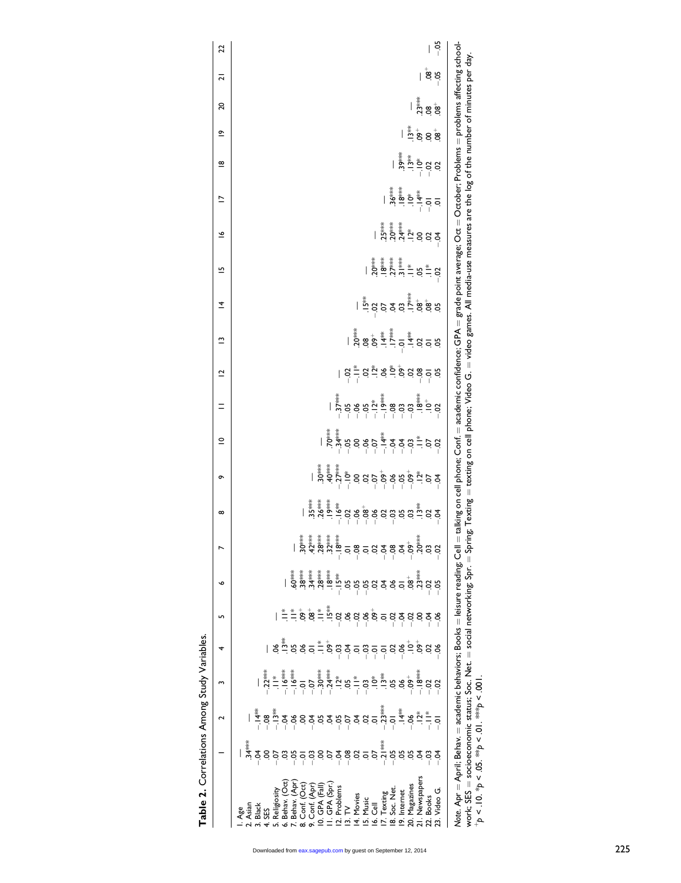|                                                                                                                                                  |                                                                                                                                                                                                                                                                                                                                                                                                                                                                                             |                                                          |                                                                                                                                                                                                                                                                                                                                                                                                                                                                                                                                                                  |                                                                                                                                                                                                                                                                                                                                                                                              | ۰ | $\infty$                          | ቊ                              | $\overline{a}$ |                                                                                                                                       | $\overline{a}$                                                            | ≏                                                                               | $\overline{4}$ | $\overline{5}$ | $\tilde{=}$                          | $\overline{a}$                                                                                                                                                                                                                                                                                            | ≌                                                                                                                                                                                                                                                                                                                                                                                                                                         | $\tilde{=}$              | 20                                                                                           | $\overline{a}$ | 22     |
|--------------------------------------------------------------------------------------------------------------------------------------------------|---------------------------------------------------------------------------------------------------------------------------------------------------------------------------------------------------------------------------------------------------------------------------------------------------------------------------------------------------------------------------------------------------------------------------------------------------------------------------------------------|----------------------------------------------------------|------------------------------------------------------------------------------------------------------------------------------------------------------------------------------------------------------------------------------------------------------------------------------------------------------------------------------------------------------------------------------------------------------------------------------------------------------------------------------------------------------------------------------------------------------------------|----------------------------------------------------------------------------------------------------------------------------------------------------------------------------------------------------------------------------------------------------------------------------------------------------------------------------------------------------------------------------------------------|---|-----------------------------------|--------------------------------|----------------|---------------------------------------------------------------------------------------------------------------------------------------|---------------------------------------------------------------------------|---------------------------------------------------------------------------------|----------------|----------------|--------------------------------------|-----------------------------------------------------------------------------------------------------------------------------------------------------------------------------------------------------------------------------------------------------------------------------------------------------------|-------------------------------------------------------------------------------------------------------------------------------------------------------------------------------------------------------------------------------------------------------------------------------------------------------------------------------------------------------------------------------------------------------------------------------------------|--------------------------|----------------------------------------------------------------------------------------------|----------------|--------|
| l. Age                                                                                                                                           |                                                                                                                                                                                                                                                                                                                                                                                                                                                                                             |                                                          |                                                                                                                                                                                                                                                                                                                                                                                                                                                                                                                                                                  |                                                                                                                                                                                                                                                                                                                                                                                              |   |                                   |                                |                |                                                                                                                                       |                                                                           |                                                                                 |                |                |                                      |                                                                                                                                                                                                                                                                                                           |                                                                                                                                                                                                                                                                                                                                                                                                                                           |                          |                                                                                              |                |        |
| 2. Asian<br>3. Black                                                                                                                             | $1\overset{*}{\underset{ -1}{*}}\overset{*}{\underset{ -1}{*}}\overset{*}{\underset{ -1}{*}}\overset{*}{\underset{ -1}{*}}\overset{*}{\underset{ -1}{*}}\overset{*}{\underset{ -1}{*}}\overset{*}{\underset{ -1}{*}}\overset{*}{\underset{ -1}{*}}\overset{*}{\underset{ -1}{*}}\overset{*}{\underset{ -1}{*}}\overset{*}{\underset{ -1}{*}}\overset{*}{\underset{ -1}{*}}\overset{*}{\underset{ -1}{*}}\overset{*}{\underset{ -1}{*}}\overset{*}{\underset{ -1}{*}}\overset{*}{\underset{$ |                                                          |                                                                                                                                                                                                                                                                                                                                                                                                                                                                                                                                                                  |                                                                                                                                                                                                                                                                                                                                                                                              |   |                                   |                                |                |                                                                                                                                       |                                                                           |                                                                                 |                |                |                                      |                                                                                                                                                                                                                                                                                                           |                                                                                                                                                                                                                                                                                                                                                                                                                                           |                          |                                                                                              |                |        |
|                                                                                                                                                  |                                                                                                                                                                                                                                                                                                                                                                                                                                                                                             |                                                          |                                                                                                                                                                                                                                                                                                                                                                                                                                                                                                                                                                  |                                                                                                                                                                                                                                                                                                                                                                                              |   |                                   |                                |                |                                                                                                                                       |                                                                           |                                                                                 |                |                |                                      |                                                                                                                                                                                                                                                                                                           |                                                                                                                                                                                                                                                                                                                                                                                                                                           |                          |                                                                                              |                |        |
|                                                                                                                                                  |                                                                                                                                                                                                                                                                                                                                                                                                                                                                                             |                                                          |                                                                                                                                                                                                                                                                                                                                                                                                                                                                                                                                                                  |                                                                                                                                                                                                                                                                                                                                                                                              |   |                                   |                                |                |                                                                                                                                       |                                                                           |                                                                                 |                |                |                                      |                                                                                                                                                                                                                                                                                                           |                                                                                                                                                                                                                                                                                                                                                                                                                                           |                          |                                                                                              |                |        |
| 4. SES<br>5. Religiosity<br>5. Behaw. (Oct)<br>6. Behaw. (Oct)<br>8. Conf. (Opt)<br>8. Conf. (App)<br>10. GPA (Spr.)<br>10. CPA (Spr.)<br>13. TV |                                                                                                                                                                                                                                                                                                                                                                                                                                                                                             | ٵ؋<br>ٵ؋ڸ؊ڛ؊؊؇ۼ؊؇ڿ؊ڋ؆؋؊؊؊؊؊؊؊<br>ؖؖؖ؊؊؊؊؊؊؊؊؊؊؊؊؊؊؊؊؊؊؊؊ | $\begin{array}{l} 1 \overset{*}{\otimes} \overset{*}{\cdots} \overset{\circ}{\otimes} \overset{\circ}{\otimes} \overset{\circ}{\circ} = \overset{*}{\circ} \overset{+}{\circ} \overset{\circ}{\circ} \overset{\circ}{\circ} = \overset{\circ}{\circ} \overset{\circ}{\circ} = \overset{\circ}{\circ} \overset{\circ}{\circ} = \overset{\circ}{\circ} \overset{\circ}{\circ} = \overset{\circ}{\circ} \overset{\circ}{\circ} = \overset{\circ}{\circ} \overset{\circ}{\circ} = \overset{\circ}{\circ} \overset{\circ}{\circ} = \overset{\circ}{\circ} \overset{\$ | $\frac{1}{2}+\frac{1}{2}+\frac{1}{2}+\frac{1}{2}+\frac{1}{2}+\frac{1}{2}+\frac{1}{2}+\frac{1}{2}+\frac{1}{2}+\frac{1}{2}+\frac{1}{2}+\frac{1}{2}+\frac{1}{2}+\frac{1}{2}+\frac{1}{2}+\frac{1}{2}+\frac{1}{2}+\frac{1}{2}+\frac{1}{2}+\frac{1}{2}+\frac{1}{2}+\frac{1}{2}+\frac{1}{2}+\frac{1}{2}+\frac{1}{2}+\frac{1}{2}+\frac{1}{2}+\frac{1}{2}+\frac{1}{2}+\frac{1}{2}+\frac{1}{2}+\frac{$ |   |                                   |                                |                |                                                                                                                                       |                                                                           |                                                                                 |                |                |                                      |                                                                                                                                                                                                                                                                                                           |                                                                                                                                                                                                                                                                                                                                                                                                                                           |                          |                                                                                              |                |        |
|                                                                                                                                                  |                                                                                                                                                                                                                                                                                                                                                                                                                                                                                             |                                                          |                                                                                                                                                                                                                                                                                                                                                                                                                                                                                                                                                                  |                                                                                                                                                                                                                                                                                                                                                                                              |   |                                   |                                |                |                                                                                                                                       |                                                                           |                                                                                 |                |                |                                      |                                                                                                                                                                                                                                                                                                           |                                                                                                                                                                                                                                                                                                                                                                                                                                           |                          |                                                                                              |                |        |
|                                                                                                                                                  |                                                                                                                                                                                                                                                                                                                                                                                                                                                                                             |                                                          |                                                                                                                                                                                                                                                                                                                                                                                                                                                                                                                                                                  |                                                                                                                                                                                                                                                                                                                                                                                              |   |                                   |                                |                |                                                                                                                                       |                                                                           |                                                                                 |                |                |                                      |                                                                                                                                                                                                                                                                                                           |                                                                                                                                                                                                                                                                                                                                                                                                                                           |                          |                                                                                              |                |        |
|                                                                                                                                                  |                                                                                                                                                                                                                                                                                                                                                                                                                                                                                             |                                                          |                                                                                                                                                                                                                                                                                                                                                                                                                                                                                                                                                                  |                                                                                                                                                                                                                                                                                                                                                                                              |   |                                   |                                |                |                                                                                                                                       |                                                                           |                                                                                 |                |                |                                      |                                                                                                                                                                                                                                                                                                           |                                                                                                                                                                                                                                                                                                                                                                                                                                           |                          |                                                                                              |                |        |
|                                                                                                                                                  |                                                                                                                                                                                                                                                                                                                                                                                                                                                                                             |                                                          |                                                                                                                                                                                                                                                                                                                                                                                                                                                                                                                                                                  |                                                                                                                                                                                                                                                                                                                                                                                              |   |                                   |                                |                |                                                                                                                                       |                                                                           |                                                                                 |                |                |                                      |                                                                                                                                                                                                                                                                                                           |                                                                                                                                                                                                                                                                                                                                                                                                                                           |                          |                                                                                              |                |        |
|                                                                                                                                                  |                                                                                                                                                                                                                                                                                                                                                                                                                                                                                             |                                                          |                                                                                                                                                                                                                                                                                                                                                                                                                                                                                                                                                                  |                                                                                                                                                                                                                                                                                                                                                                                              |   |                                   |                                |                |                                                                                                                                       |                                                                           |                                                                                 |                |                |                                      |                                                                                                                                                                                                                                                                                                           |                                                                                                                                                                                                                                                                                                                                                                                                                                           |                          |                                                                                              |                |        |
|                                                                                                                                                  |                                                                                                                                                                                                                                                                                                                                                                                                                                                                                             |                                                          |                                                                                                                                                                                                                                                                                                                                                                                                                                                                                                                                                                  |                                                                                                                                                                                                                                                                                                                                                                                              |   |                                   |                                |                |                                                                                                                                       |                                                                           |                                                                                 |                |                |                                      |                                                                                                                                                                                                                                                                                                           |                                                                                                                                                                                                                                                                                                                                                                                                                                           |                          |                                                                                              |                |        |
|                                                                                                                                                  |                                                                                                                                                                                                                                                                                                                                                                                                                                                                                             |                                                          |                                                                                                                                                                                                                                                                                                                                                                                                                                                                                                                                                                  |                                                                                                                                                                                                                                                                                                                                                                                              |   |                                   |                                |                |                                                                                                                                       |                                                                           |                                                                                 |                |                |                                      |                                                                                                                                                                                                                                                                                                           |                                                                                                                                                                                                                                                                                                                                                                                                                                           |                          |                                                                                              |                |        |
| 14. Movies<br>15. Music<br>16. Cell                                                                                                              |                                                                                                                                                                                                                                                                                                                                                                                                                                                                                             |                                                          |                                                                                                                                                                                                                                                                                                                                                                                                                                                                                                                                                                  |                                                                                                                                                                                                                                                                                                                                                                                              |   | ٵ؊ٞۼۄٞ<br>ٵ؊ٞٷ۠؊ٷٷٷ؋ٷ؋ٷ؞ؖ؋<br>ؖ؊ؖ | ٵ؋ڿ؋ڶ؋<br>ڮۄڿ؊ۼۣؖ؋ۄڂ؋ٷۄڂ؋ۼڿٚؠۊ |                | $\frac{1}{2}$                                                                                                                         | $\frac{1}{2}$ g $\frac{2}{3}$ g $\frac{2}{3}$ g $\frac{2}{3}$ g g g g g g | । ਨੌਂ ਭ ਨੂੰ <sup>*</sup> * * *<br>। ਨੌਂ ਭ ਨੂੰ <u>*</u> = <u>=</u> * ਨੂੰ = ਨੂੰ = |                |                |                                      |                                                                                                                                                                                                                                                                                                           |                                                                                                                                                                                                                                                                                                                                                                                                                                           |                          |                                                                                              |                |        |
|                                                                                                                                                  |                                                                                                                                                                                                                                                                                                                                                                                                                                                                                             |                                                          |                                                                                                                                                                                                                                                                                                                                                                                                                                                                                                                                                                  |                                                                                                                                                                                                                                                                                                                                                                                              |   |                                   |                                |                |                                                                                                                                       |                                                                           |                                                                                 |                |                |                                      |                                                                                                                                                                                                                                                                                                           |                                                                                                                                                                                                                                                                                                                                                                                                                                           |                          |                                                                                              |                |        |
|                                                                                                                                                  |                                                                                                                                                                                                                                                                                                                                                                                                                                                                                             |                                                          |                                                                                                                                                                                                                                                                                                                                                                                                                                                                                                                                                                  |                                                                                                                                                                                                                                                                                                                                                                                              |   |                                   |                                |                |                                                                                                                                       |                                                                           |                                                                                 |                |                |                                      |                                                                                                                                                                                                                                                                                                           |                                                                                                                                                                                                                                                                                                                                                                                                                                           |                          |                                                                                              |                |        |
| I7. Texting                                                                                                                                      |                                                                                                                                                                                                                                                                                                                                                                                                                                                                                             |                                                          |                                                                                                                                                                                                                                                                                                                                                                                                                                                                                                                                                                  |                                                                                                                                                                                                                                                                                                                                                                                              |   |                                   |                                |                |                                                                                                                                       |                                                                           |                                                                                 |                |                |                                      |                                                                                                                                                                                                                                                                                                           |                                                                                                                                                                                                                                                                                                                                                                                                                                           |                          |                                                                                              |                |        |
| 18. Soc. Net.                                                                                                                                    |                                                                                                                                                                                                                                                                                                                                                                                                                                                                                             |                                                          |                                                                                                                                                                                                                                                                                                                                                                                                                                                                                                                                                                  |                                                                                                                                                                                                                                                                                                                                                                                              |   |                                   |                                |                |                                                                                                                                       |                                                                           |                                                                                 |                |                | ភ្លែន់ ៖<br>  ក្ដុង ភ្នំ ក្ដុង ខ ខ ខ | $\begin{array}{r} \frac{2}{3} & \frac{2}{3} & \frac{2}{3} & \frac{2}{3} \\ \frac{2}{3} & \frac{2}{3} & \frac{2}{3} & \frac{2}{3} & \frac{2}{3} \\ \frac{2}{3} & \frac{2}{3} & \frac{2}{3} & \frac{2}{3} & \frac{2}{3} \\ \frac{2}{3} & \frac{2}{3} & \frac{2}{3} & \frac{2}{3} & \frac{2}{3} \end{array}$ |                                                                                                                                                                                                                                                                                                                                                                                                                                           |                          |                                                                                              |                |        |
| 19. Internet                                                                                                                                     |                                                                                                                                                                                                                                                                                                                                                                                                                                                                                             |                                                          |                                                                                                                                                                                                                                                                                                                                                                                                                                                                                                                                                                  |                                                                                                                                                                                                                                                                                                                                                                                              |   |                                   |                                |                |                                                                                                                                       |                                                                           |                                                                                 |                |                |                                      |                                                                                                                                                                                                                                                                                                           |                                                                                                                                                                                                                                                                                                                                                                                                                                           |                          |                                                                                              |                |        |
| 20. Magazines                                                                                                                                    |                                                                                                                                                                                                                                                                                                                                                                                                                                                                                             |                                                          |                                                                                                                                                                                                                                                                                                                                                                                                                                                                                                                                                                  |                                                                                                                                                                                                                                                                                                                                                                                              |   |                                   |                                |                |                                                                                                                                       |                                                                           |                                                                                 |                |                |                                      |                                                                                                                                                                                                                                                                                                           |                                                                                                                                                                                                                                                                                                                                                                                                                                           |                          |                                                                                              |                |        |
| 21. Newspapers                                                                                                                                   |                                                                                                                                                                                                                                                                                                                                                                                                                                                                                             |                                                          |                                                                                                                                                                                                                                                                                                                                                                                                                                                                                                                                                                  |                                                                                                                                                                                                                                                                                                                                                                                              |   |                                   |                                |                |                                                                                                                                       |                                                                           |                                                                                 |                |                |                                      |                                                                                                                                                                                                                                                                                                           |                                                                                                                                                                                                                                                                                                                                                                                                                                           |                          |                                                                                              |                |        |
| 22. Books                                                                                                                                        |                                                                                                                                                                                                                                                                                                                                                                                                                                                                                             |                                                          |                                                                                                                                                                                                                                                                                                                                                                                                                                                                                                                                                                  |                                                                                                                                                                                                                                                                                                                                                                                              |   |                                   |                                |                |                                                                                                                                       |                                                                           |                                                                                 |                |                |                                      |                                                                                                                                                                                                                                                                                                           | $\begin{array}{r} \frac{2}{3} \\ -1 \\ -2 \\ -1 \\ -1 \\ \frac{2}{3} \\ -1 \\ \frac{2}{3} \\ -1 \\ \frac{2}{3} \\ -1 \\ \frac{2}{3} \\ -1 \\ \frac{2}{3} \\ -1 \\ \frac{2}{3} \\ -1 \\ \frac{2}{3} \\ -1 \\ \frac{2}{3} \\ -1 \\ \frac{2}{3} \\ -1 \\ \frac{2}{3} \\ -1 \\ \frac{2}{3} \\ -1 \\ \frac{2}{3} \\ -1 \\ \frac{2}{3} \\ -1 \\ \frac{2}{3} \\ -1 \\ \frac{2}{3} \\ -1 \\ \frac{2}{3} \\ -1 \\ \frac{2}{3} \\ -1 \\ \frac{2}{3$ | <u>နီ</u> +<br>  ၁ ၁ ၁ ၁ | $\overset{\ast}{\mathbf{a}}$<br>$\overset{\ast}{\mathbf{a}}$<br>$\overset{\ast}{\mathbf{a}}$ | ້ອ ຮຸ          |        |
| 23. Video G.                                                                                                                                     |                                                                                                                                                                                                                                                                                                                                                                                                                                                                                             |                                                          |                                                                                                                                                                                                                                                                                                                                                                                                                                                                                                                                                                  |                                                                                                                                                                                                                                                                                                                                                                                              |   |                                   |                                |                |                                                                                                                                       |                                                                           |                                                                                 |                |                |                                      |                                                                                                                                                                                                                                                                                                           |                                                                                                                                                                                                                                                                                                                                                                                                                                           |                          |                                                                                              |                | $-0.5$ |
| Note. Apr = April; Behav. = academic behaviors; Books = leisure reading; Cel                                                                     |                                                                                                                                                                                                                                                                                                                                                                                                                                                                                             |                                                          |                                                                                                                                                                                                                                                                                                                                                                                                                                                                                                                                                                  |                                                                                                                                                                                                                                                                                                                                                                                              |   |                                   |                                |                | = talking on cell phone; Conf. = academic confidence; GPA = grade point average; Oct = October; Problems = problems affecting school- |                                                                           |                                                                                 |                |                |                                      |                                                                                                                                                                                                                                                                                                           |                                                                                                                                                                                                                                                                                                                                                                                                                                           |                          |                                                                                              |                |        |
| work; SES = socioeconomic status; Soc. Net. = social networking; Spr. = S                                                                        |                                                                                                                                                                                                                                                                                                                                                                                                                                                                                             |                                                          |                                                                                                                                                                                                                                                                                                                                                                                                                                                                                                                                                                  |                                                                                                                                                                                                                                                                                                                                                                                              |   |                                   |                                |                | pring; Texting = texting on cell phone; Video G. = video games. All media-use measures are the log of the number of minutes per day.  |                                                                           |                                                                                 |                |                |                                      |                                                                                                                                                                                                                                                                                                           |                                                                                                                                                                                                                                                                                                                                                                                                                                           |                          |                                                                                              |                |        |
| $^+p < 10.^*p < .05.^*p < .01.^*p < .001$                                                                                                        |                                                                                                                                                                                                                                                                                                                                                                                                                                                                                             |                                                          |                                                                                                                                                                                                                                                                                                                                                                                                                                                                                                                                                                  |                                                                                                                                                                                                                                                                                                                                                                                              |   |                                   |                                |                |                                                                                                                                       |                                                                           |                                                                                 |                |                |                                      |                                                                                                                                                                                                                                                                                                           |                                                                                                                                                                                                                                                                                                                                                                                                                                           |                          |                                                                                              |                |        |

| י<br>אירוני |
|-------------|
| ì           |
|             |
|             |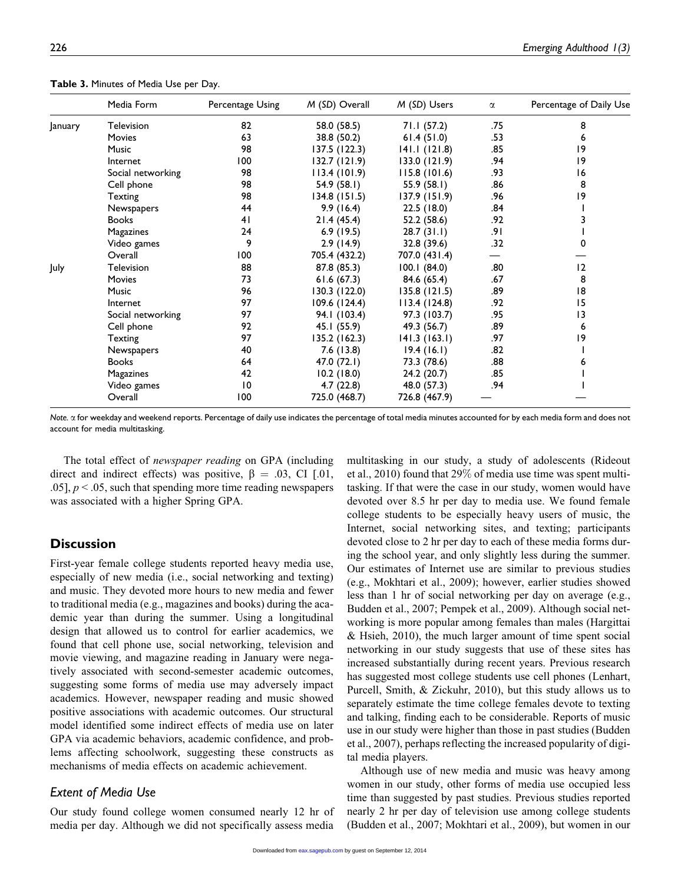|         | Media Form        | Percentage Using | M (SD) Overall | M (SD) Users  | $\alpha$ | Percentage of Daily Use |
|---------|-------------------|------------------|----------------|---------------|----------|-------------------------|
| January | Television        | 82               | 58.0 (58.5)    | 71.1 (57.2)   | .75      | 8                       |
|         | <b>Movies</b>     | 63               | 38.8 (50.2)    | 61.4(51.0)    | .53      | 6                       |
|         | Music             | 98               | 137.5 (122.3)  | 141.1 (121.8) | .85      | 19                      |
|         | Internet          | 100              | 132.7(121.9)   | 133.0 (121.9) | .94      | 19                      |
|         | Social networking | 98               | 113.4(101.9)   | 115.8(101.6)  | .93      | 16                      |
|         | Cell phone        | 98               | 54.9 (58.1)    | 55.9 (58.1)   | .86      | 8                       |
|         | Texting           | 98               | 134.8(151.5)   | 137.9 (151.9) | .96      | 19                      |
|         | Newspapers        | 44               | 9.9(16.4)      | 22.5(18.0)    | .84      |                         |
|         | <b>Books</b>      | 41               | 21.4(45.4)     | 52.2 (58.6)   | .92      |                         |
|         | Magazines         | 24               | 6.9(19.5)      | 28.7(31.1)    | .91      |                         |
|         | Video games       | 9                | 2.9(14.9)      | 32.8 (39.6)   | .32      | O                       |
|         | Overall           | 100              | 705.4 (432.2)  | 707.0 (431.4) |          |                         |
| July    | Television        | 88               | 87.8 (85.3)    | 100.1(84.0)   | .80      | 12                      |
|         | <b>Movies</b>     | 73               | 61.6(67.3)     | 84.6 (65.4)   | .67      | 8                       |
|         | <b>Music</b>      | 96               | 130.3 (122.0)  | 135.8(121.5)  | .89      | 18                      |
|         | Internet          | 97               | 109.6 (124.4)  | 113.4(124.8)  | .92      | 15                      |
|         | Social networking | 97               | 94.1 (103.4)   | 97.3 (103.7)  | .95      | 13                      |
|         | Cell phone        | 92               | 45.1 (55.9)    | 49.3 (56.7)   | .89      | 6                       |
|         | Texting           | 97               | 135.2 (162.3)  | 141.3(163.1)  | .97      | 19                      |
|         | Newspapers        | 40               | 7.6(13.8)      | 19.4(16.1)    | .82      |                         |
|         | <b>Books</b>      | 64               | 47.0 (72.1)    | 73.3 (78.6)   | .88      | 6                       |
|         | Magazines         | 42               | 10.2(18.0)     | 24.2 (20.7)   | .85      |                         |
|         | Video games       | $\overline{10}$  | 4.7(22.8)      | 48.0 (57.3)   | .94      |                         |
|         | Overall           | 100              | 725.0 (468.7)  | 726.8 (467.9) |          |                         |

Table 3. Minutes of Media Use per Day.

Note. a for weekday and weekend reports. Percentage of daily use indicates the percentage of total media minutes accounted for by each media form and does not account for media multitasking.

The total effect of *newspaper reading* on GPA (including direct and indirect effects) was positive,  $\beta = .03$ , CI [.01, .05],  $p < 0.05$ , such that spending more time reading newspapers was associated with a higher Spring GPA.

## **Discussion**

First-year female college students reported heavy media use, especially of new media (i.e., social networking and texting) and music. They devoted more hours to new media and fewer to traditional media (e.g., magazines and books) during the academic year than during the summer. Using a longitudinal design that allowed us to control for earlier academics, we found that cell phone use, social networking, television and movie viewing, and magazine reading in January were negatively associated with second-semester academic outcomes, suggesting some forms of media use may adversely impact academics. However, newspaper reading and music showed positive associations with academic outcomes. Our structural model identified some indirect effects of media use on later GPA via academic behaviors, academic confidence, and problems affecting schoolwork, suggesting these constructs as mechanisms of media effects on academic achievement.

## Extent of Media Use

Our study found college women consumed nearly 12 hr of media per day. Although we did not specifically assess media

multitasking in our study, a study of adolescents (Rideout et al., 2010) found that 29% of media use time was spent multitasking. If that were the case in our study, women would have devoted over 8.5 hr per day to media use. We found female college students to be especially heavy users of music, the Internet, social networking sites, and texting; participants devoted close to 2 hr per day to each of these media forms during the school year, and only slightly less during the summer. Our estimates of Internet use are similar to previous studies (e.g., Mokhtari et al., 2009); however, earlier studies showed less than 1 hr of social networking per day on average (e.g., Budden et al., 2007; Pempek et al., 2009). Although social networking is more popular among females than males (Hargittai & Hsieh, 2010), the much larger amount of time spent social networking in our study suggests that use of these sites has increased substantially during recent years. Previous research has suggested most college students use cell phones (Lenhart, Purcell, Smith, & Zickuhr, 2010), but this study allows us to separately estimate the time college females devote to texting and talking, finding each to be considerable. Reports of music use in our study were higher than those in past studies (Budden et al., 2007), perhaps reflecting the increased popularity of digital media players.

Although use of new media and music was heavy among women in our study, other forms of media use occupied less time than suggested by past studies. Previous studies reported nearly 2 hr per day of television use among college students (Budden et al., 2007; Mokhtari et al., 2009), but women in our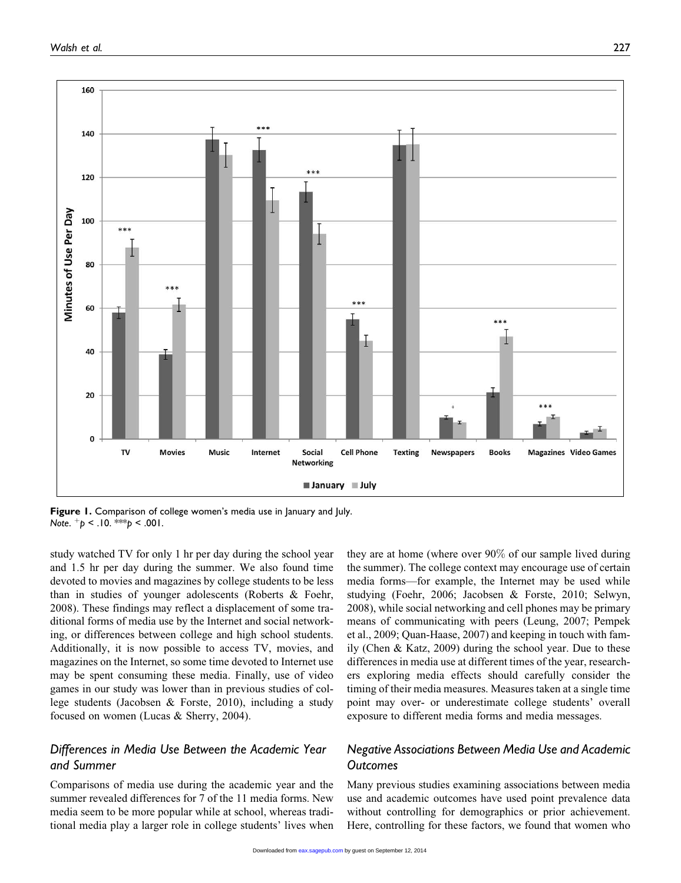

Figure 1. Comparison of college women's media use in January and July. Note.  $^+p$  < .10. \*\*\* $p$  < .001.

study watched TV for only 1 hr per day during the school year and 1.5 hr per day during the summer. We also found time devoted to movies and magazines by college students to be less than in studies of younger adolescents (Roberts & Foehr, 2008). These findings may reflect a displacement of some traditional forms of media use by the Internet and social networking, or differences between college and high school students. Additionally, it is now possible to access TV, movies, and magazines on the Internet, so some time devoted to Internet use may be spent consuming these media. Finally, use of video games in our study was lower than in previous studies of college students (Jacobsen & Forste, 2010), including a study focused on women (Lucas & Sherry, 2004).

# Differences in Media Use Between the Academic Year and Summer

Comparisons of media use during the academic year and the summer revealed differences for 7 of the 11 media forms. New media seem to be more popular while at school, whereas traditional media play a larger role in college students' lives when

they are at home (where over 90% of our sample lived during the summer). The college context may encourage use of certain media forms—for example, the Internet may be used while studying (Foehr, 2006; Jacobsen & Forste, 2010; Selwyn, 2008), while social networking and cell phones may be primary means of communicating with peers (Leung, 2007; Pempek et al., 2009; Quan-Haase, 2007) and keeping in touch with family (Chen & Katz, 2009) during the school year. Due to these differences in media use at different times of the year, researchers exploring media effects should carefully consider the timing of their media measures. Measures taken at a single time point may over- or underestimate college students' overall exposure to different media forms and media messages.

# Negative Associations Between Media Use and Academic **Outcomes**

Many previous studies examining associations between media use and academic outcomes have used point prevalence data without controlling for demographics or prior achievement. Here, controlling for these factors, we found that women who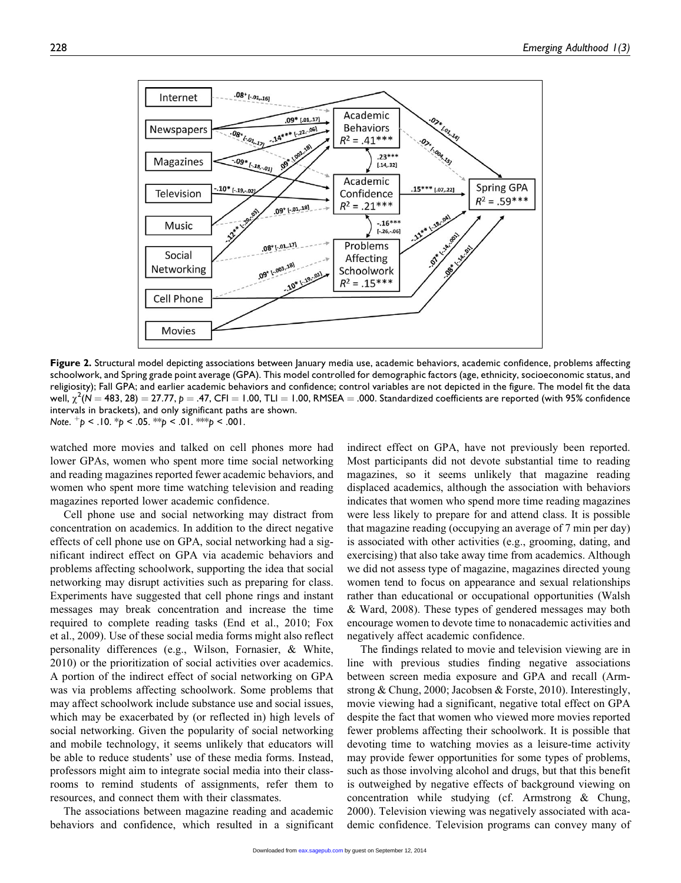

Figure 2. Structural model depicting associations between January media use, academic behaviors, academic confidence, problems affecting schoolwork, and Spring grade point average (GPA). This model controlled for demographic factors (age, ethnicity, socioeconomic status, and religiosity); Fall GPA; and earlier academic behaviors and confidence; control variables are not depicted in the figure. The model fit the data well,  $\chi^2({\sf N}=$  483, 28)  $=$  27.77,  ${\sf p} =$  .47, CFI  $=$  1.00, TLI  $=$  1.00, RMSEA  $=$  .000. Standardized coefficients are reported (with 95% confidence intervals in brackets), and only significant paths are shown. Note.  $^+p$  < .10. \*p < .05. \*\*p < .01. \*\*p < .001.

watched more movies and talked on cell phones more had lower GPAs, women who spent more time social networking and reading magazines reported fewer academic behaviors, and women who spent more time watching television and reading magazines reported lower academic confidence.

Cell phone use and social networking may distract from concentration on academics. In addition to the direct negative effects of cell phone use on GPA, social networking had a significant indirect effect on GPA via academic behaviors and problems affecting schoolwork, supporting the idea that social networking may disrupt activities such as preparing for class. Experiments have suggested that cell phone rings and instant messages may break concentration and increase the time required to complete reading tasks (End et al., 2010; Fox et al., 2009). Use of these social media forms might also reflect personality differences (e.g., Wilson, Fornasier, & White, 2010) or the prioritization of social activities over academics. A portion of the indirect effect of social networking on GPA was via problems affecting schoolwork. Some problems that may affect schoolwork include substance use and social issues, which may be exacerbated by (or reflected in) high levels of social networking. Given the popularity of social networking and mobile technology, it seems unlikely that educators will be able to reduce students' use of these media forms. Instead, professors might aim to integrate social media into their classrooms to remind students of assignments, refer them to resources, and connect them with their classmates.

The associations between magazine reading and academic behaviors and confidence, which resulted in a significant

indirect effect on GPA, have not previously been reported. Most participants did not devote substantial time to reading magazines, so it seems unlikely that magazine reading displaced academics, although the association with behaviors indicates that women who spend more time reading magazines were less likely to prepare for and attend class. It is possible that magazine reading (occupying an average of 7 min per day) is associated with other activities (e.g., grooming, dating, and exercising) that also take away time from academics. Although we did not assess type of magazine, magazines directed young women tend to focus on appearance and sexual relationships rather than educational or occupational opportunities (Walsh & Ward, 2008). These types of gendered messages may both encourage women to devote time to nonacademic activities and negatively affect academic confidence.

The findings related to movie and television viewing are in line with previous studies finding negative associations between screen media exposure and GPA and recall (Armstrong & Chung, 2000; Jacobsen & Forste, 2010). Interestingly, movie viewing had a significant, negative total effect on GPA despite the fact that women who viewed more movies reported fewer problems affecting their schoolwork. It is possible that devoting time to watching movies as a leisure-time activity may provide fewer opportunities for some types of problems, such as those involving alcohol and drugs, but that this benefit is outweighed by negative effects of background viewing on concentration while studying (cf. Armstrong & Chung, 2000). Television viewing was negatively associated with academic confidence. Television programs can convey many of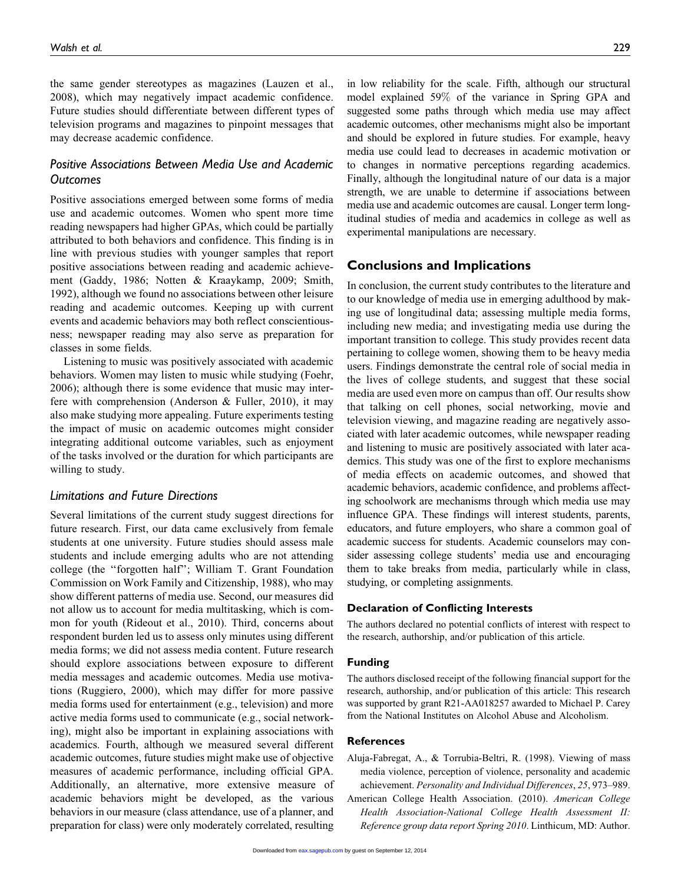the same gender stereotypes as magazines (Lauzen et al., 2008), which may negatively impact academic confidence. Future studies should differentiate between different types of television programs and magazines to pinpoint messages that may decrease academic confidence.

# Positive Associations Between Media Use and Academic **Outcomes**

Positive associations emerged between some forms of media use and academic outcomes. Women who spent more time reading newspapers had higher GPAs, which could be partially attributed to both behaviors and confidence. This finding is in line with previous studies with younger samples that report positive associations between reading and academic achievement (Gaddy, 1986; Notten & Kraaykamp, 2009; Smith, 1992), although we found no associations between other leisure reading and academic outcomes. Keeping up with current events and academic behaviors may both reflect conscientiousness; newspaper reading may also serve as preparation for classes in some fields.

Listening to music was positively associated with academic behaviors. Women may listen to music while studying (Foehr, 2006); although there is some evidence that music may interfere with comprehension (Anderson & Fuller, 2010), it may also make studying more appealing. Future experiments testing the impact of music on academic outcomes might consider integrating additional outcome variables, such as enjoyment of the tasks involved or the duration for which participants are willing to study.

## Limitations and Future Directions

Several limitations of the current study suggest directions for future research. First, our data came exclusively from female students at one university. Future studies should assess male students and include emerging adults who are not attending college (the ''forgotten half''; William T. Grant Foundation Commission on Work Family and Citizenship, 1988), who may show different patterns of media use. Second, our measures did not allow us to account for media multitasking, which is common for youth (Rideout et al., 2010). Third, concerns about respondent burden led us to assess only minutes using different media forms; we did not assess media content. Future research should explore associations between exposure to different media messages and academic outcomes. Media use motivations (Ruggiero, 2000), which may differ for more passive media forms used for entertainment (e.g., television) and more active media forms used to communicate (e.g., social networking), might also be important in explaining associations with academics. Fourth, although we measured several different academic outcomes, future studies might make use of objective measures of academic performance, including official GPA. Additionally, an alternative, more extensive measure of academic behaviors might be developed, as the various behaviors in our measure (class attendance, use of a planner, and preparation for class) were only moderately correlated, resulting

in low reliability for the scale. Fifth, although our structural model explained 59% of the variance in Spring GPA and suggested some paths through which media use may affect academic outcomes, other mechanisms might also be important and should be explored in future studies. For example, heavy media use could lead to decreases in academic motivation or to changes in normative perceptions regarding academics. Finally, although the longitudinal nature of our data is a major strength, we are unable to determine if associations between media use and academic outcomes are causal. Longer term longitudinal studies of media and academics in college as well as experimental manipulations are necessary.

## Conclusions and Implications

In conclusion, the current study contributes to the literature and to our knowledge of media use in emerging adulthood by making use of longitudinal data; assessing multiple media forms, including new media; and investigating media use during the important transition to college. This study provides recent data pertaining to college women, showing them to be heavy media users. Findings demonstrate the central role of social media in the lives of college students, and suggest that these social media are used even more on campus than off. Our results show that talking on cell phones, social networking, movie and television viewing, and magazine reading are negatively associated with later academic outcomes, while newspaper reading and listening to music are positively associated with later academics. This study was one of the first to explore mechanisms of media effects on academic outcomes, and showed that academic behaviors, academic confidence, and problems affecting schoolwork are mechanisms through which media use may influence GPA. These findings will interest students, parents, educators, and future employers, who share a common goal of academic success for students. Academic counselors may consider assessing college students' media use and encouraging them to take breaks from media, particularly while in class, studying, or completing assignments.

#### Declaration of Conflicting Interests

The authors declared no potential conflicts of interest with respect to the research, authorship, and/or publication of this article.

#### Funding

The authors disclosed receipt of the following financial support for the research, authorship, and/or publication of this article: This research was supported by grant R21-AA018257 awarded to Michael P. Carey from the National Institutes on Alcohol Abuse and Alcoholism.

#### References

- Aluja-Fabregat, A., & Torrubia-Beltri, R. (1998). Viewing of mass media violence, perception of violence, personality and academic achievement. Personality and Individual Differences, 25, 973–989.
- American College Health Association. (2010). American College Health Association-National College Health Assessment II: Reference group data report Spring 2010. Linthicum, MD: Author.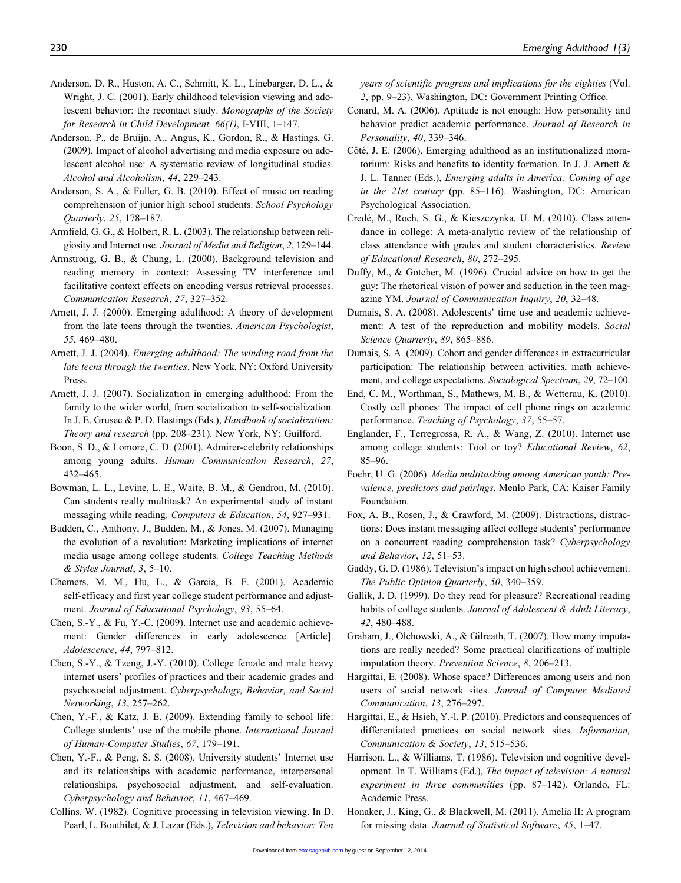- Anderson, D. R., Huston, A. C., Schmitt, K. L., Linebarger, D. L., & Wright, J. C. (2001). Early childhood television viewing and adolescent behavior: the recontact study. Monographs of the Society for Research in Child Development, 66(1), I-VIII, 1–147.
- Anderson, P., de Bruijn, A., Angus, K., Gordon, R., & Hastings, G. (2009). Impact of alcohol advertising and media exposure on adolescent alcohol use: A systematic review of longitudinal studies. Alcohol and Alcoholism, 44, 229–243.
- Anderson, S. A., & Fuller, G. B. (2010). Effect of music on reading comprehension of junior high school students. School Psychology Quarterly, 25, 178–187.
- Armfield, G. G., & Holbert, R. L. (2003). The relationship between religiosity and Internet use. Journal of Media and Religion, 2, 129–144.
- Armstrong, G. B., & Chung, L. (2000). Background television and reading memory in context: Assessing TV interference and facilitative context effects on encoding versus retrieval processes. Communication Research, 27, 327–352.
- Arnett, J. J. (2000). Emerging adulthood: A theory of development from the late teens through the twenties. American Psychologist, 55, 469–480.
- Arnett, J. J. (2004). Emerging adulthood: The winding road from the late teens through the twenties. New York, NY: Oxford University Press.
- Arnett, J. J. (2007). Socialization in emerging adulthood: From the family to the wider world, from socialization to self-socialization. In J. E. Grusec & P. D. Hastings (Eds.), Handbook of socialization: Theory and research (pp. 208–231). New York, NY: Guilford.
- Boon, S. D., & Lomore, C. D. (2001). Admirer-celebrity relationships among young adults. Human Communication Research, 27, 432–465.
- Bowman, L. L., Levine, L. E., Waite, B. M., & Gendron, M. (2010). Can students really multitask? An experimental study of instant messaging while reading. Computers & Education, 54, 927–931.
- Budden, C., Anthony, J., Budden, M., & Jones, M. (2007). Managing the evolution of a revolution: Marketing implications of internet media usage among college students. College Teaching Methods & Styles Journal, 3, 5–10.
- Chemers, M. M., Hu, L., & Garcia, B. F. (2001). Academic self-efficacy and first year college student performance and adjustment. Journal of Educational Psychology, 93, 55–64.
- Chen, S.-Y., & Fu, Y.-C. (2009). Internet use and academic achievement: Gender differences in early adolescence [Article]. Adolescence, 44, 797–812.
- Chen, S.-Y., & Tzeng, J.-Y. (2010). College female and male heavy internet users' profiles of practices and their academic grades and psychosocial adjustment. Cyberpsychology, Behavior, and Social Networking, 13, 257–262.
- Chen, Y.-F., & Katz, J. E. (2009). Extending family to school life: College students' use of the mobile phone. International Journal of Human-Computer Studies, 67, 179–191.
- Chen, Y.-F., & Peng, S. S. (2008). University students' Internet use and its relationships with academic performance, interpersonal relationships, psychosocial adjustment, and self-evaluation. Cyberpsychology and Behavior, 11, 467–469.
- Collins, W. (1982). Cognitive processing in television viewing. In D. Pearl, L. Bouthilet, & J. Lazar (Eds.), Television and behavior: Ten

years of scientific progress and implications for the eighties (Vol. 2, pp. 9–23). Washington, DC: Government Printing Office.

- Conard, M. A. (2006). Aptitude is not enough: How personality and behavior predict academic performance. Journal of Research in Personality, 40, 339–346.
- Côté, J. E. (2006). Emerging adulthood as an institutionalized moratorium: Risks and benefits to identity formation. In J. J. Arnett & J. L. Tanner (Eds.), Emerging adults in America: Coming of age in the 21st century (pp. 85–116). Washington, DC: American Psychological Association.
- Credé, M., Roch, S. G., & Kieszczynka, U. M. (2010). Class attendance in college: A meta-analytic review of the relationship of class attendance with grades and student characteristics. Review of Educational Research, 80, 272–295.
- Duffy, M., & Gotcher, M. (1996). Crucial advice on how to get the guy: The rhetorical vision of power and seduction in the teen magazine YM. Journal of Communication Inquiry, 20, 32–48.
- Dumais, S. A. (2008). Adolescents' time use and academic achievement: A test of the reproduction and mobility models. Social Science Quarterly, 89, 865-886.
- Dumais, S. A. (2009). Cohort and gender differences in extracurricular participation: The relationship between activities, math achievement, and college expectations. Sociological Spectrum, 29, 72–100.
- End, C. M., Worthman, S., Mathews, M. B., & Wetterau, K. (2010). Costly cell phones: The impact of cell phone rings on academic performance. Teaching of Psychology, 37, 55–57.
- Englander, F., Terregrossa, R. A., & Wang, Z. (2010). Internet use among college students: Tool or toy? Educational Review, 62, 85–96.
- Foehr, U. G. (2006). Media multitasking among American youth: Prevalence, predictors and pairings. Menlo Park, CA: Kaiser Family Foundation.
- Fox, A. B., Rosen, J., & Crawford, M. (2009). Distractions, distractions: Does instant messaging affect college students' performance on a concurrent reading comprehension task? Cyberpsychology and Behavior, 12, 51–53.
- Gaddy, G. D. (1986). Television's impact on high school achievement. The Public Opinion Quarterly, 50, 340–359.
- Gallik, J. D. (1999). Do they read for pleasure? Recreational reading habits of college students. Journal of Adolescent & Adult Literacy, 42, 480–488.
- Graham, J., Olchowski, A., & Gilreath, T. (2007). How many imputations are really needed? Some practical clarifications of multiple imputation theory. Prevention Science, 8, 206–213.
- Hargittai, E. (2008). Whose space? Differences among users and non users of social network sites. Journal of Computer Mediated Communication, 13, 276–297.
- Hargittai, E., & Hsieh, Y.-l. P. (2010). Predictors and consequences of differentiated practices on social network sites. Information, Communication & Society, 13, 515–536.
- Harrison, L., & Williams, T. (1986). Television and cognitive development. In T. Williams (Ed.), The impact of television: A natural experiment in three communities (pp. 87–142). Orlando, FL: Academic Press.
- Honaker, J., King, G., & Blackwell, M. (2011). Amelia II: A program for missing data. Journal of Statistical Software, 45, 1–47.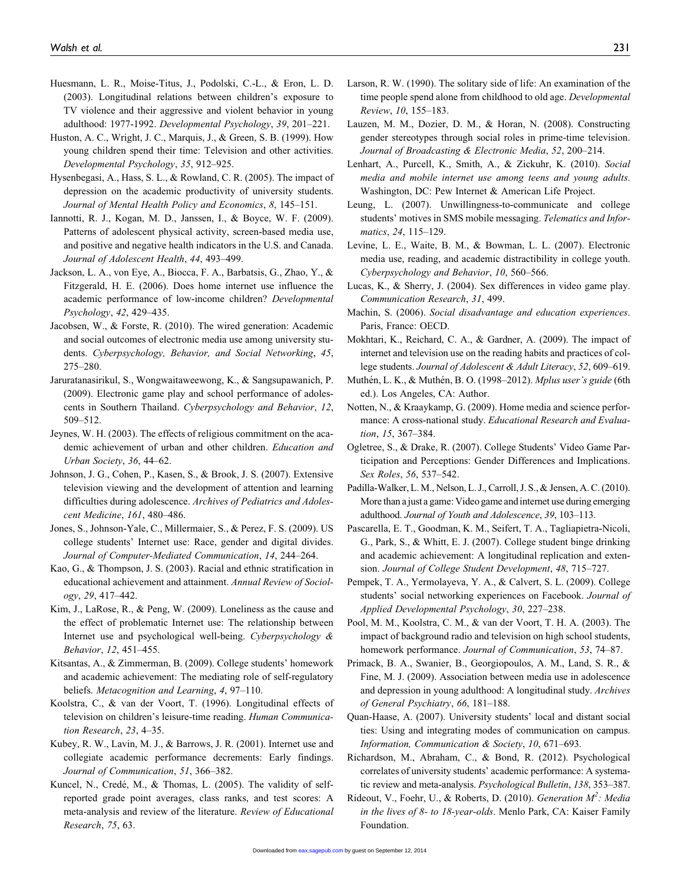- Huesmann, L. R., Moise-Titus, J., Podolski, C.-L., & Eron, L. D. (2003). Longitudinal relations between children's exposure to TV violence and their aggressive and violent behavior in young adulthood: 1977-1992. Developmental Psychology, 39, 201–221.
- Huston, A. C., Wright, J. C., Marquis, J., & Green, S. B. (1999). How young children spend their time: Television and other activities. Developmental Psychology, 35, 912–925.
- Hysenbegasi, A., Hass, S. L., & Rowland, C. R. (2005). The impact of depression on the academic productivity of university students. Journal of Mental Health Policy and Economics, 8, 145–151.
- Iannotti, R. J., Kogan, M. D., Janssen, I., & Boyce, W. F. (2009). Patterns of adolescent physical activity, screen-based media use, and positive and negative health indicators in the U.S. and Canada. Journal of Adolescent Health, 44, 493–499.
- Jackson, L. A., von Eye, A., Biocca, F. A., Barbatsis, G., Zhao, Y., & Fitzgerald, H. E. (2006). Does home internet use influence the academic performance of low-income children? Developmental Psychology, 42, 429–435.
- Jacobsen, W., & Forste, R. (2010). The wired generation: Academic and social outcomes of electronic media use among university students. Cyberpsychology, Behavior, and Social Networking, 45, 275–280.
- Jaruratanasirikul, S., Wongwaitaweewong, K., & Sangsupawanich, P. (2009). Electronic game play and school performance of adolescents in Southern Thailand. Cyberpsychology and Behavior, 12, 509–512.
- Jeynes, W. H. (2003). The effects of religious commitment on the academic achievement of urban and other children. Education and Urban Society, 36, 44–62.
- Johnson, J. G., Cohen, P., Kasen, S., & Brook, J. S. (2007). Extensive television viewing and the development of attention and learning difficulties during adolescence. Archives of Pediatrics and Adolescent Medicine, 161, 480–486.
- Jones, S., Johnson-Yale, C., Millermaier, S., & Perez, F. S. (2009). US college students' Internet use: Race, gender and digital divides. Journal of Computer-Mediated Communication, 14, 244–264.
- Kao, G., & Thompson, J. S. (2003). Racial and ethnic stratification in educational achievement and attainment. Annual Review of Sociology, 29, 417–442.
- Kim, J., LaRose, R., & Peng, W. (2009). Loneliness as the cause and the effect of problematic Internet use: The relationship between Internet use and psychological well-being. Cyberpsychology & Behavior, 12, 451–455.
- Kitsantas, A., & Zimmerman, B. (2009). College students' homework and academic achievement: The mediating role of self-regulatory beliefs. Metacognition and Learning, 4, 97–110.
- Koolstra, C., & van der Voort, T. (1996). Longitudinal effects of television on children's leisure-time reading. Human Communication Research, 23, 4–35.
- Kubey, R. W., Lavin, M. J., & Barrows, J. R. (2001). Internet use and collegiate academic performance decrements: Early findings. Journal of Communication, 51, 366–382.
- Kuncel, N., Credé, M., & Thomas, L. (2005). The validity of selfreported grade point averages, class ranks, and test scores: A meta-analysis and review of the literature. Review of Educational Research, 75, 63.
- Larson, R. W. (1990). The solitary side of life: An examination of the time people spend alone from childhood to old age. Developmental Review, 10, 155–183.
- Lauzen, M. M., Dozier, D. M., & Horan, N. (2008). Constructing gender stereotypes through social roles in prime-time television. Journal of Broadcasting & Electronic Media, 52, 200–214.
- Lenhart, A., Purcell, K., Smith, A., & Zickuhr, K. (2010). Social media and mobile internet use among teens and young adults. Washington, DC: Pew Internet & American Life Project.
- Leung, L. (2007). Unwillingness-to-communicate and college students' motives in SMS mobile messaging. Telematics and Informatics, 24, 115–129.
- Levine, L. E., Waite, B. M., & Bowman, L. L. (2007). Electronic media use, reading, and academic distractibility in college youth. Cyberpsychology and Behavior, 10, 560–566.
- Lucas, K., & Sherry, J. (2004). Sex differences in video game play. Communication Research, 31, 499.
- Machin, S. (2006). Social disadvantage and education experiences. Paris, France: OECD.
- Mokhtari, K., Reichard, C. A., & Gardner, A. (2009). The impact of internet and television use on the reading habits and practices of college students. Journal of Adolescent & Adult Literacy, 52, 609–619.
- Muthén, L. K., & Muthén, B. O. (1998–2012). Mplus user's guide (6th ed.). Los Angeles, CA: Author.
- Notten, N., & Kraaykamp, G. (2009). Home media and science performance: A cross-national study. Educational Research and Evaluation, 15, 367–384.
- Ogletree, S., & Drake, R. (2007). College Students' Video Game Participation and Perceptions: Gender Differences and Implications. Sex Roles, 56, 537–542.
- Padilla-Walker, L. M., Nelson, L. J., Carroll, J. S., & Jensen, A. C. (2010). More than a just a game: Video game andinternet use during emerging adulthood. Journal of Youth and Adolescence, 39, 103–113.
- Pascarella, E. T., Goodman, K. M., Seifert, T. A., Tagliapietra-Nicoli, G., Park, S., & Whitt, E. J. (2007). College student binge drinking and academic achievement: A longitudinal replication and extension. Journal of College Student Development, 48, 715–727.
- Pempek, T. A., Yermolayeva, Y. A., & Calvert, S. L. (2009). College students' social networking experiences on Facebook. Journal of Applied Developmental Psychology, 30, 227–238.
- Pool, M. M., Koolstra, C. M., & van der Voort, T. H. A. (2003). The impact of background radio and television on high school students, homework performance. Journal of Communication, 53, 74–87.
- Primack, B. A., Swanier, B., Georgiopoulos, A. M., Land, S. R., & Fine, M. J. (2009). Association between media use in adolescence and depression in young adulthood: A longitudinal study. Archives of General Psychiatry, 66, 181–188.
- Quan-Haase, A. (2007). University students' local and distant social ties: Using and integrating modes of communication on campus. Information, Communication & Society, 10, 671–693.
- Richardson, M., Abraham, C., & Bond, R. (2012). Psychological correlates of university students' academic performance: A systematic review and meta-analysis. Psychological Bulletin, 138, 353–387.
- Rideout, V., Foehr, U., & Roberts, D. (2010). Generation  $M^2$ : Media in the lives of 8- to 18-year-olds. Menlo Park, CA: Kaiser Family Foundation.